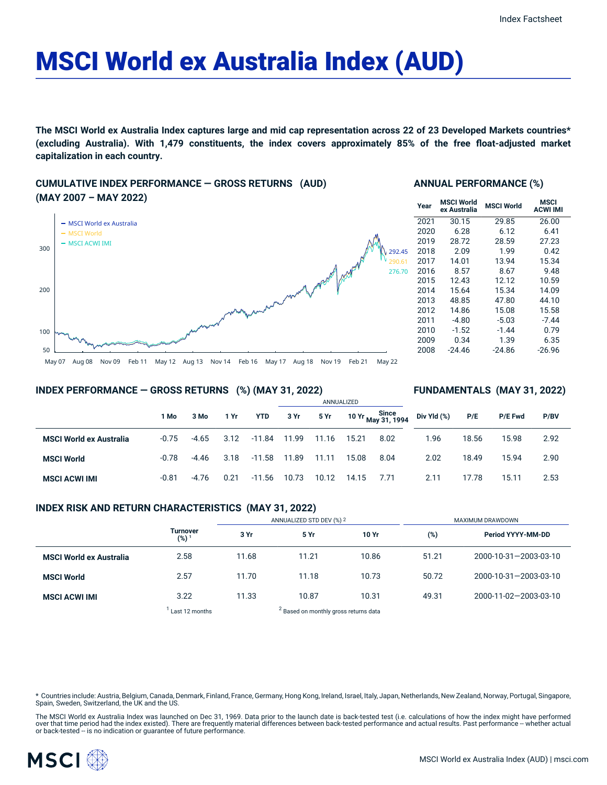# MSCI World ex Australia Index (AUD)

The MSCI World ex Australia Index captures large and mid cap representation across 22 of 23 Developed Markets countries\* **(excluding Australia). With 1,479 constituents, the index covers approximately 85% of the free float-adjusted market capitalization in each country.**

# **CUMULATIVE INDEX PERFORMANCE — GROSS RETURNS (AUD) (MAY 2007 – MAY 2022)**



# **ANNUAL PERFORMANCE (%)**

| Year | <b>MSCI World</b><br>ex Australia | <b>MSCI World</b> | MSCI<br><b>ACWI IMI</b> |  |  |
|------|-----------------------------------|-------------------|-------------------------|--|--|
| 2021 | 30.15                             | 29.85             | 26.00                   |  |  |
| 2020 | 6.28                              | 6.12              | 6.41                    |  |  |
| 2019 | 28.72                             | 28.59             | 27.23                   |  |  |
| 2018 | 2.09                              | 1.99              | 0.42                    |  |  |
| 2017 | 14.01                             | 13.94             | 15.34                   |  |  |
| 2016 | 8.57                              | 8.67              | 9.48                    |  |  |
| 2015 | 12.43                             | 12.12             | 10.59                   |  |  |
| 2014 | 15.64                             | 15.34             | 14.09                   |  |  |
| 2013 | 48.85                             | 47.80             | 44.10                   |  |  |
| 2012 | 14.86                             | 15.08             | 15.58                   |  |  |
| 2011 | $-4.80$                           | $-5.03$           | $-7.44$                 |  |  |
| 2010 | $-1.52$                           | $-1.44$           | 0.79                    |  |  |
| 2009 | 0.34                              | 1.39              | 6.35                    |  |  |
| 2008 | -24.46                            | -24.86            | -26.96                  |  |  |
|      |                                   |                   |                         |  |  |

# **INDEX PERFORMANCE — GROSS RETURNS (%) (MAY 31, 2022)**

# **FUNDAMENTALS (MAY 31, 2022)**

|                                |         |         |      |            | <b>AININUALIZED</b> |       |       |                                        |             |       |         |      |  |
|--------------------------------|---------|---------|------|------------|---------------------|-------|-------|----------------------------------------|-------------|-------|---------|------|--|
|                                | 1 Mo    | 3 Mo    | 1 Yr | <b>YTD</b> | 3 Yr                | 5 Yr  |       | Since<br>10 Yr <sub>May</sub> 31, 1994 | Div Yld (%) | P/E   | P/E Fwd | P/BV |  |
| <b>MSCI World ex Australia</b> | $-0.75$ | -4.65   | 3.12 | -11.84     | 11.99               | 11.16 | 15.21 | 8.02                                   | 1.96        | 18.56 | 15.98   | 2.92 |  |
| <b>MSCI World</b>              | $-0.78$ | -4.46   | 3.18 | -11.58     | 11.89               | 11.11 | 15.08 | 8.04                                   | 2.02        | 18.49 | 15.94   | 2.90 |  |
| <b>MSCI ACWI IMI</b>           | $-0.81$ | $-4.76$ | 0.21 | $-11.56$   | 10.73               | 10.12 | 14.15 | 7.71                                   | 2.11        | 17.78 | 15.11   | 2.53 |  |

ANNUALIZED

## **INDEX RISK AND RETURN CHARACTERISTICS (MAY 31, 2022)**

|                                |                                     | ANNUALIZED STD DEV (%) 2                         |       |       | <b>MAXIMUM DRAWDOWN</b> |                       |  |  |
|--------------------------------|-------------------------------------|--------------------------------------------------|-------|-------|-------------------------|-----------------------|--|--|
|                                | <b>Turnover</b><br>(%) <sup>1</sup> | 3 Yr                                             | 5 Yr  | 10 Yr | (%)                     | Period YYYY-MM-DD     |  |  |
| <b>MSCI World ex Australia</b> | 2.58                                | 11.68                                            | 11.21 | 10.86 | 51.21                   | 2000-10-31-2003-03-10 |  |  |
| <b>MSCI World</b>              | 2.57                                | 11.70                                            | 11.18 | 10.73 | 50.72                   | 2000-10-31-2003-03-10 |  |  |
| <b>MSCI ACWI IMI</b>           | 3.22                                | 11.33                                            | 10.87 | 10.31 | 49.31                   | 2000-11-02-2003-03-10 |  |  |
|                                | Last 12 months                      | <sup>2</sup> Based on monthly gross returns data |       |       |                         |                       |  |  |

Countries include: Austria, Belgium, Canada, Denmark, Finland, France, Germany, Hong Kong, Ireland, Israel, Italy, Japan, Netherlands, New Zealand, Norway, Portugal, Singapore, Spain, Sweden, Switzerland, the UK and the US.

The MSCI World ex Australia Index was launched on Dec 31, 1969. Data prior to the launch date is back-tested test (i.e. calculations of how the index might have performed over that time period had the index existed). There are frequently material differences between back-tested performance and actual results. Past performance – whether actual<br>or back-tested – is no indication or guarantee o

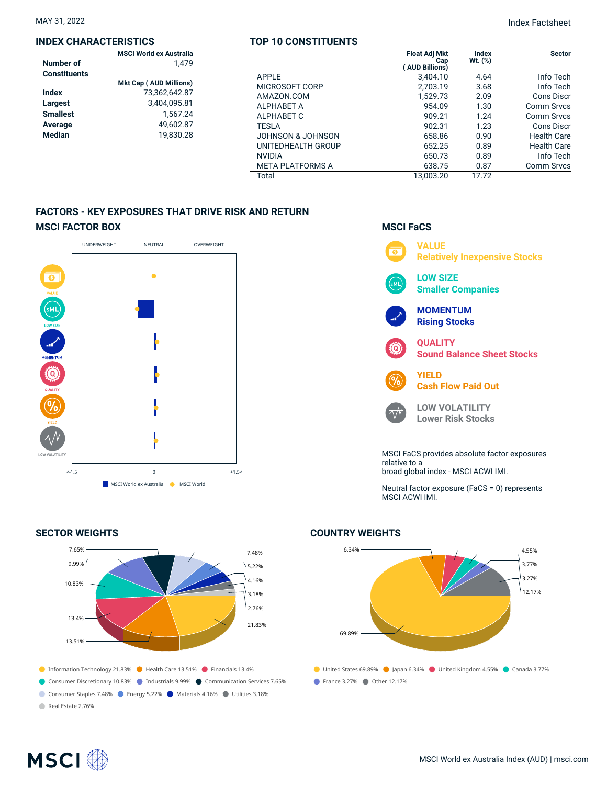#### **INDEX CHARACTERISTICS**

|                     | <b>MSCI World ex Australia</b> |  |
|---------------------|--------------------------------|--|
| Number of           | 1.479                          |  |
| <b>Constituents</b> |                                |  |
|                     | <b>Mkt Cap (AUD Millions)</b>  |  |
| Index               | 73.362.642.87                  |  |
| Largest             | 3,404,095.81                   |  |
| <b>Smallest</b>     | 1.567.24                       |  |
| Average             | 49,602.87                      |  |
| <b>Median</b>       | 19.830.28                      |  |
|                     |                                |  |

# **TOP 10 CONSTITUENTS**

| lia<br>79 |                         | <b>Float Adj Mkt</b><br>Cap<br><b>AUD Billions)</b> | <b>Index</b><br>$Wt.$ $(\%)$ | <b>Sector</b>      |
|-----------|-------------------------|-----------------------------------------------------|------------------------------|--------------------|
|           | <b>APPLE</b>            | 3,404.10                                            | 4.64                         | Info Tech          |
| ıs)       | MICROSOFT CORP          | 2.703.19                                            | 3.68                         | Info Tech          |
| 87        | AMAZON.COM              | 1,529.73                                            | 2.09                         | Cons Discr         |
| 81        | <b>ALPHABET A</b>       | 954.09                                              | 1.30                         | Comm Srvcs         |
| 24        | ALPHABET C              | 909.21                                              | 1.24                         | Comm Srvcs         |
| 87        | <b>TESLA</b>            | 902.31                                              | 1.23                         | Cons Discr         |
| 28        | JOHNSON & JOHNSON       | 658.86                                              | 0.90                         | <b>Health Care</b> |
|           | UNITEDHEALTH GROUP      | 652.25                                              | 0.89                         | <b>Health Care</b> |
|           | <b>NVIDIA</b>           | 650.73                                              | 0.89                         | Info Tech          |
|           | <b>META PLATFORMS A</b> | 638.75                                              | 0.87                         | <b>Comm Srvcs</b>  |
|           | Total                   | 13.003.20                                           | 17.72                        |                    |

# **FACTORS - KEY EXPOSURES THAT DRIVE RISK AND RETURN MSCI FACTOR BOX**



## **SECTOR WEIGHTS**



# **MSCI FaCS**



Neutral factor exposure (FaCS = 0) represents MSCI ACWI IMI.

# ● United States 69.89% ● Japan 6.34% ● United Kingdom 4.55% ● Canada 3.77% France 3.27% Other 12.17% 6.34% 69.89% 4.55% 3.77% 3.27% 12.17%

# **COUNTRY WEIGHTS**